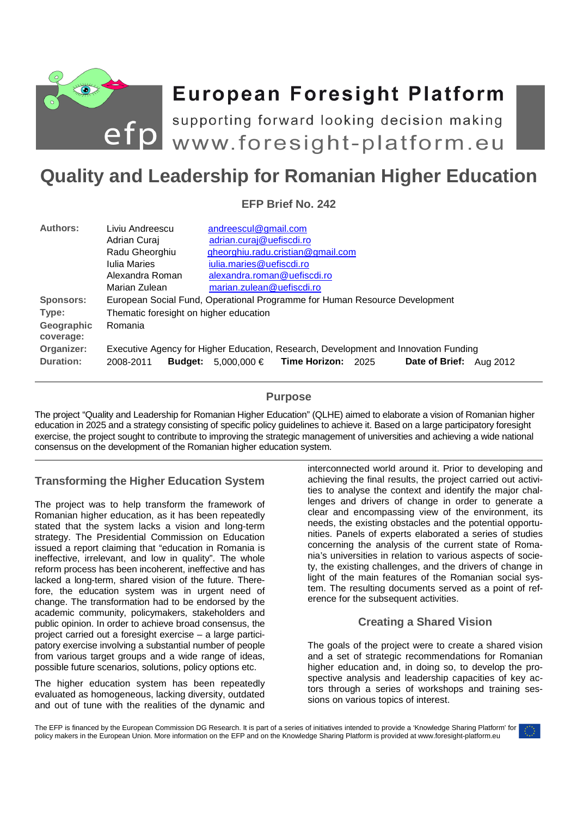

# **European Foresight Platform**

efp supporting forward looking decision making<br>
www.foresight-platform.eu

# **Quality and Leadership for Romanian Higher Education**

**EFP Brief No. 242** 

| <b>Authors:</b>         | Liviu Andreescu                                                                     | andreescul@gmail.com                                         |
|-------------------------|-------------------------------------------------------------------------------------|--------------------------------------------------------------|
|                         | Adrian Curaj                                                                        | adrian.curaj@uefiscdi.ro                                     |
|                         | Radu Gheorghiu                                                                      | gheorghiu.radu.cristian@gmail.com                            |
|                         | <b>Iulia Maries</b>                                                                 | iulia.maries@uefiscdi.ro                                     |
|                         | Alexandra Roman                                                                     | alexandra.roman@uefiscdi.ro                                  |
|                         | Marian Zulean                                                                       | marian.zulean@uefiscdi.ro                                    |
| <b>Sponsors:</b>        | European Social Fund, Operational Programme for Human Resource Development          |                                                              |
| Type:                   | Thematic foresight on higher education                                              |                                                              |
| Geographic<br>coverage: | Romania                                                                             |                                                              |
| Organizer:              | Executive Agency for Higher Education, Research, Development and Innovation Funding |                                                              |
| <b>Duration:</b>        | <b>Budget:</b><br>2008-2011                                                         | 5,000,000 € Time Horizon: 2025<br>Date of Brief:<br>Aug 2012 |

### **Purpose**

The project "Quality and Leadership for Romanian Higher Education" (QLHE) aimed to elaborate a vision of Romanian higher education in 2025 and a strategy consisting of specific policy guidelines to achieve it. Based on a large participatory foresight exercise, the project sought to contribute to improving the strategic management of universities and achieving a wide national consensus on the development of the Romanian higher education system.

# **Transforming the Higher Education System**

The project was to help transform the framework of Romanian higher education, as it has been repeatedly stated that the system lacks a vision and long-term strategy. The Presidential Commission on Education issued a report claiming that "education in Romania is ineffective, irrelevant, and low in quality". The whole reform process has been incoherent, ineffective and has lacked a long-term, shared vision of the future. Therefore, the education system was in urgent need of change. The transformation had to be endorsed by the academic community, policymakers, stakeholders and public opinion. In order to achieve broad consensus, the project carried out a foresight exercise – a large participatory exercise involving a substantial number of people from various target groups and a wide range of ideas, possible future scenarios, solutions, policy options etc.

The higher education system has been repeatedly evaluated as homogeneous, lacking diversity, outdated and out of tune with the realities of the dynamic and interconnected world around it. Prior to developing and achieving the final results, the project carried out activities to analyse the context and identify the major challenges and drivers of change in order to generate a clear and encompassing view of the environment, its needs, the existing obstacles and the potential opportunities. Panels of experts elaborated a series of studies concerning the analysis of the current state of Romania's universities in relation to various aspects of society, the existing challenges, and the drivers of change in light of the main features of the Romanian social system. The resulting documents served as a point of reference for the subsequent activities.

# **Creating a Shared Vision**

The goals of the project were to create a shared vision and a set of strategic recommendations for Romanian higher education and, in doing so, to develop the prospective analysis and leadership capacities of key actors through a series of workshops and training sessions on various topics of interest.

The EFP is financed by the European Commission DG Research. It is part of a series of initiatives intended to provide a 'Knowledge Sharing Platform' for policy makers in the European Union. More information on the EFP and on the Knowledge Sharing Platform is provided at www.foresight-platform.eu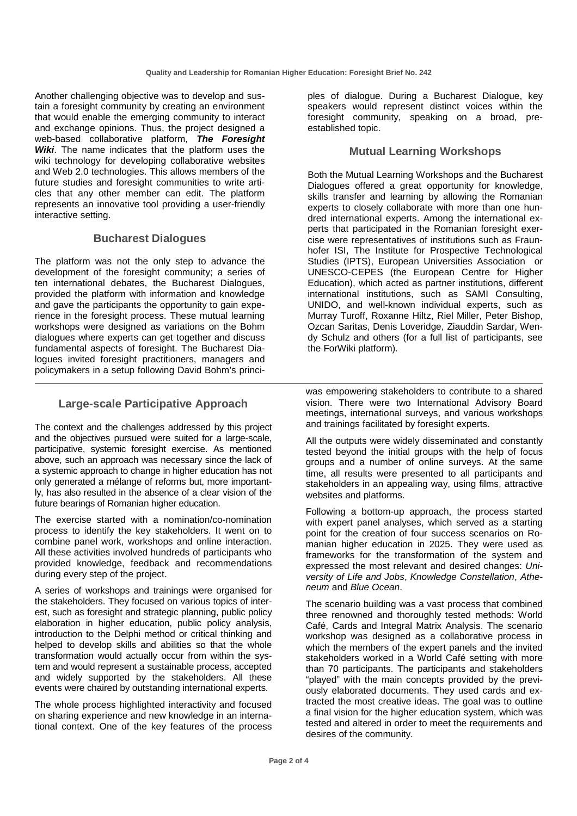Another challenging objective was to develop and sustain a foresight community by creating an environment that would enable the emerging community to interact and exchange opinions. Thus, the project designed a web-based collaborative platform, **The Foresight Wiki**. The name indicates that the platform uses the wiki technology for developing collaborative websites and Web 2.0 technologies. This allows members of the future studies and foresight communities to write articles that any other member can edit. The platform represents an innovative tool providing a user-friendly interactive setting.

#### **Bucharest Dialogues**

The platform was not the only step to advance the development of the foresight community; a series of ten international debates, the Bucharest Dialogues, provided the platform with information and knowledge and gave the participants the opportunity to gain experience in the foresight process. These mutual learning workshops were designed as variations on the Bohm dialogues where experts can get together and discuss fundamental aspects of foresight. The Bucharest Dialogues invited foresight practitioners, managers and policymakers in a setup following David Bohm's princi-

#### **Large-scale Participative Approach**

The context and the challenges addressed by this project and the objectives pursued were suited for a large-scale, participative, systemic foresight exercise. As mentioned above, such an approach was necessary since the lack of a systemic approach to change in higher education has not only generated a mélange of reforms but, more importantly, has also resulted in the absence of a clear vision of the future bearings of Romanian higher education.

The exercise started with a nomination/co-nomination process to identify the key stakeholders. It went on to combine panel work, workshops and online interaction. All these activities involved hundreds of participants who provided knowledge, feedback and recommendations during every step of the project.

A series of workshops and trainings were organised for the stakeholders. They focused on various topics of interest, such as foresight and strategic planning, public policy elaboration in higher education, public policy analysis, introduction to the Delphi method or critical thinking and helped to develop skills and abilities so that the whole transformation would actually occur from within the system and would represent a sustainable process, accepted and widely supported by the stakeholders. All these events were chaired by outstanding international experts.

The whole process highlighted interactivity and focused on sharing experience and new knowledge in an international context. One of the key features of the process

ples of dialogue. During a Bucharest Dialogue, key speakers would represent distinct voices within the foresight community, speaking on a broad, preestablished topic.

#### **Mutual Learning Workshops**

Both the Mutual Learning Workshops and the Bucharest Dialogues offered a great opportunity for knowledge, skills transfer and learning by allowing the Romanian experts to closely collaborate with more than one hundred international experts. Among the international experts that participated in the Romanian foresight exercise were representatives of institutions such as Fraunhofer ISI, The Institute for Prospective Technological Studies (IPTS), European Universities Association or UNESCO-CEPES (the European Centre for Higher Education), which acted as partner institutions, different international institutions, such as SAMI Consulting, UNIDO, and well-known individual experts, such as Murray Turoff, Roxanne Hiltz, Riel Miller, Peter Bishop, Ozcan Saritas, Denis Loveridge, Ziauddin Sardar, Wendy Schulz and others (for a full list of participants, see the ForWiki platform).

was empowering stakeholders to contribute to a shared vision. There were two International Advisory Board meetings, international surveys, and various workshops and trainings facilitated by foresight experts.

All the outputs were widely disseminated and constantly tested beyond the initial groups with the help of focus groups and a number of online surveys. At the same time, all results were presented to all participants and stakeholders in an appealing way, using films, attractive websites and platforms.

Following a bottom-up approach, the process started with expert panel analyses, which served as a starting point for the creation of four success scenarios on Romanian higher education in 2025. They were used as frameworks for the transformation of the system and expressed the most relevant and desired changes: University of Life and Jobs, Knowledge Constellation, Atheneum and Blue Ocean.

The scenario building was a vast process that combined three renowned and thoroughly tested methods: World Café, Cards and Integral Matrix Analysis. The scenario workshop was designed as a collaborative process in which the members of the expert panels and the invited stakeholders worked in a World Café setting with more than 70 participants. The participants and stakeholders "played" with the main concepts provided by the previously elaborated documents. They used cards and extracted the most creative ideas. The goal was to outline a final vision for the higher education system, which was tested and altered in order to meet the requirements and desires of the community.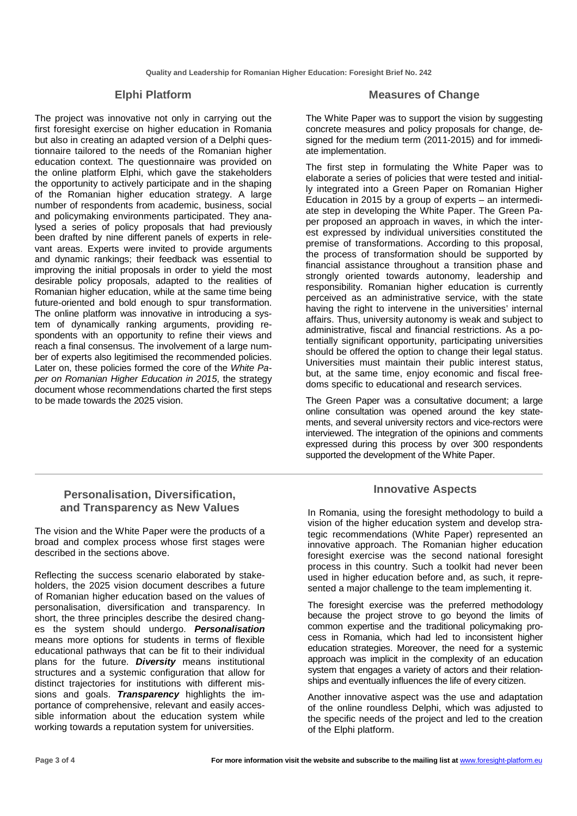#### **Elphi Platform**

The project was innovative not only in carrying out the first foresight exercise on higher education in Romania but also in creating an adapted version of a Delphi questionnaire tailored to the needs of the Romanian higher education context. The questionnaire was provided on the online platform Elphi, which gave the stakeholders the opportunity to actively participate and in the shaping of the Romanian higher education strategy. A large number of respondents from academic, business, social and policymaking environments participated. They analysed a series of policy proposals that had previously been drafted by nine different panels of experts in relevant areas. Experts were invited to provide arguments and dynamic rankings; their feedback was essential to improving the initial proposals in order to yield the most desirable policy proposals, adapted to the realities of Romanian higher education, while at the same time being future-oriented and bold enough to spur transformation. The online platform was innovative in introducing a system of dynamically ranking arguments, providing respondents with an opportunity to refine their views and reach a final consensus. The involvement of a large number of experts also legitimised the recommended policies. Later on, these policies formed the core of the White Paper on Romanian Higher Education in 2015, the strategy document whose recommendations charted the first steps to be made towards the 2025 vision.

#### **Measures of Change**

The White Paper was to support the vision by suggesting concrete measures and policy proposals for change, designed for the medium term (2011-2015) and for immediate implementation.

The first step in formulating the White Paper was to elaborate a series of policies that were tested and initially integrated into a Green Paper on Romanian Higher Education in 2015 by a group of experts – an intermediate step in developing the White Paper. The Green Paper proposed an approach in waves, in which the interest expressed by individual universities constituted the premise of transformations. According to this proposal, the process of transformation should be supported by financial assistance throughout a transition phase and strongly oriented towards autonomy, leadership and responsibility. Romanian higher education is currently perceived as an administrative service, with the state having the right to intervene in the universities' internal affairs. Thus, university autonomy is weak and subject to administrative, fiscal and financial restrictions. As a potentially significant opportunity, participating universities should be offered the option to change their legal status. Universities must maintain their public interest status, but, at the same time, enjoy economic and fiscal freedoms specific to educational and research services.

The Green Paper was a consultative document; a large online consultation was opened around the key statements, and several university rectors and vice-rectors were interviewed. The integration of the opinions and comments expressed during this process by over 300 respondents supported the development of the White Paper.

#### **Innovative Aspects**

In Romania, using the foresight methodology to build a vision of the higher education system and develop strategic recommendations (White Paper) represented an innovative approach. The Romanian higher education foresight exercise was the second national foresight process in this country. Such a toolkit had never been used in higher education before and, as such, it represented a major challenge to the team implementing it.

The foresight exercise was the preferred methodology because the project strove to go beyond the limits of common expertise and the traditional policymaking process in Romania, which had led to inconsistent higher education strategies. Moreover, the need for a systemic approach was implicit in the complexity of an education system that engages a variety of actors and their relationships and eventually influences the life of every citizen.

Another innovative aspect was the use and adaptation of the online roundless Delphi, which was adjusted to the specific needs of the project and led to the creation of the Elphi platform.

# **Personalisation, Diversification, and Transparency as New Values**

The vision and the White Paper were the products of a broad and complex process whose first stages were described in the sections above.

Reflecting the success scenario elaborated by stakeholders, the 2025 vision document describes a future of Romanian higher education based on the values of personalisation, diversification and transparency. In short, the three principles describe the desired changes the system should undergo. **Personalisation** means more options for students in terms of flexible educational pathways that can be fit to their individual plans for the future. **Diversity** means institutional structures and a systemic configuration that allow for distinct trajectories for institutions with different missions and goals. **Transparency** highlights the importance of comprehensive, relevant and easily accessible information about the education system while working towards a reputation system for universities.